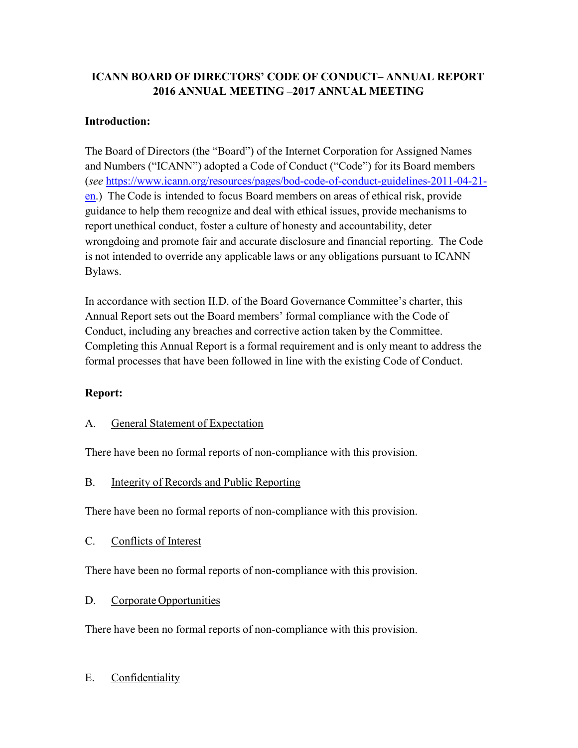## **ICANN BOARD OF DIRECTORS' CODE OF CONDUCT– ANNUAL REPORT 2016 ANNUAL MEETING –2017 ANNUAL MEETING**

#### **Introduction:**

The Board of Directors (the "Board") of the Internet Corporation for Assigned Names and Numbers ("ICANN") adopted a Code of Conduct ("Code") for its Board members (*see* [https://www.icann.org/resources/pages/bod-code-of-conduct-guidelines-2011-04-21](https://www.icann.org/resources/pages/bod-code-of-conduct-guidelines-2011-04-21-en) [en.](https://www.icann.org/resources/pages/bod-code-of-conduct-guidelines-2011-04-21-en)) The Code is intended to focus Board members on areas of ethical risk, provide guidance to help them recognize and deal with ethical issues, provide mechanisms to report unethical conduct, foster a culture of honesty and accountability, deter wrongdoing and promote fair and accurate disclosure and financial reporting. The Code is not intended to override any applicable laws or any obligations pursuant to ICANN Bylaws.

In accordance with section II.D. of the Board Governance Committee's charter, this Annual Report sets out the Board members' formal compliance with the Code of Conduct, including any breaches and corrective action taken by the Committee. Completing this Annual Report is a formal requirement and is only meant to address the formal processes that have been followed in line with the existing Code of Conduct.

#### **Report:**

#### A. General Statement of Expectation

There have been no formal reports of non-compliance with this provision.

#### B. Integrity of Records and Public Reporting

There have been no formal reports of non-compliance with this provision.

C. Conflicts of Interest

There have been no formal reports of non-compliance with this provision.

#### D. Corporate Opportunities

There have been no formal reports of non-compliance with this provision.

### E. Confidentiality